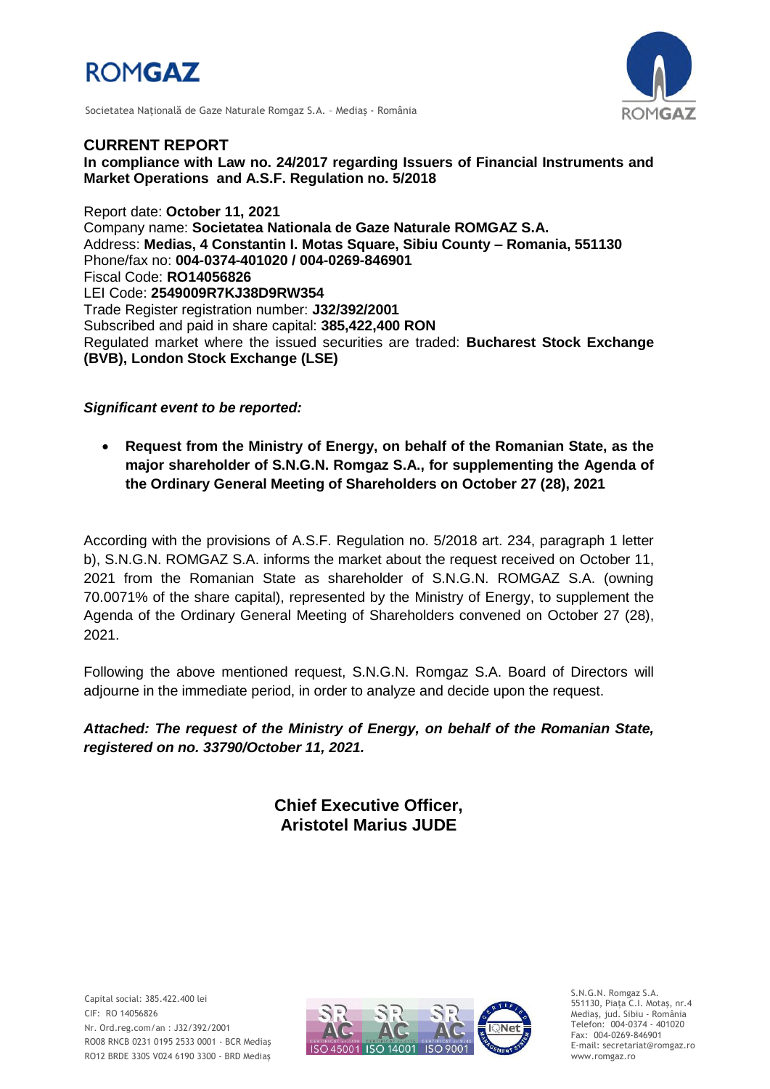

Societatea Naţională de Gaze Naturale Romgaz S.A. – Mediaş - România



**CURRENT REPORT In compliance with Law no. 24/2017 regarding Issuers of Financial Instruments and Market Operations and A.S.F. Regulation no. 5/2018**

Report date: **October 11, 2021** Company name: **Societatea Nationala de Gaze Naturale ROMGAZ S.A.** Address: **Medias, 4 Constantin I. Motas Square, Sibiu County – Romania, 551130** Phone/fax no: **004-0374-401020 / 004-0269-846901** Fiscal Code: **RO14056826** LEI Code: **2549009R7KJ38D9RW354** Trade Register registration number: **J32/392/2001** Subscribed and paid in share capital: **385,422,400 RON** Regulated market where the issued securities are traded: **Bucharest Stock Exchange (BVB), London Stock Exchange (LSE)**

*Significant event to be reported:*

 **Request from the Ministry of Energy, on behalf of the Romanian State, as the major shareholder of S.N.G.N. Romgaz S.A., for supplementing the Agenda of the Ordinary General Meeting of Shareholders on October 27 (28), 2021**

According with the provisions of A.S.F. Regulation no. 5/2018 art. 234, paragraph 1 letter b), S.N.G.N. ROMGAZ S.A. informs the market about the request received on October 11, 2021 from the Romanian State as shareholder of S.N.G.N. ROMGAZ S.A. (owning 70.0071% of the share capital), represented by the Ministry of Energy, to supplement the Agenda of the Ordinary General Meeting of Shareholders convened on October 27 (28), 2021.

Following the above mentioned request, S.N.G.N. Romgaz S.A. Board of Directors will adjourne in the immediate period, in order to analyze and decide upon the request.

*Attached: The request of the Ministry of Energy, on behalf of the Romanian State, registered on no. 33790/October 11, 2021.*

> **Chief Executive Officer, Aristotel Marius JUDE**

Capital social: 385.422.400 lei CIF: RO 14056826 Nr. Ord.reg.com/an : J32/392/2001 RO08 RNCB 0231 0195 2533 0001 - BCR Mediaş RO12 BRDE 330S V024 6190 3300 - BRD Mediaş



S.N.G.N. Romgaz S.A. 551130, Piața C.I. Motaş, nr.4 Mediaş, jud. Sibiu - România Telefon: 004-0374 - 401020 Fax: 004-0269-846901 E-mail: secretariat@romgaz.ro www.romgaz.ro